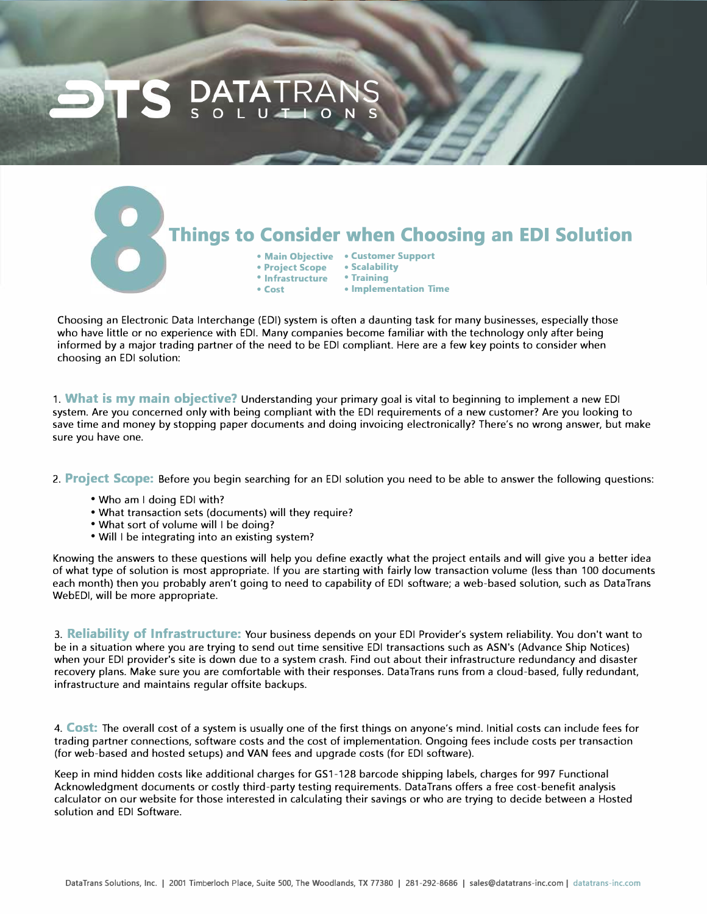## **Things to Consider when Choosing an EDI Solution**

- **Main Objective Customer Support**
- **Project Scope Scalabilit<br>• Infrastructure Training**
- **Infrastructure**
- **Cost Implementation Time**

Choosing an Electronic Data Interchange (EDI) system is often a daunting task for many businesses, especially those who have little or no experience with EDI. Many companies become familiar with the technology only after being informed by a major trading partner of the need to be EDI compliant. Here are a few key points to consider when choosing an EDI solution:

1. **What is my main objective?** Understanding your primary goal is vital to beginning to implement a new EDI system. Are you concerned only with being compliant with the EDI requirements of a new customer? Are you looking to save time and money by stopping paper documents and doing invoicing electronically? There's no wrong answer, but make sure you have one.

2. **Project Scope:** Before you begin searching for an EDI solution you need to be able to answer the following questions:

- Who am I doing EDI with?
- What transaction sets (documents) will they require?
- What sort of volume will I be doing?
- Will I be integrating into an existing system?

Knowing the answers to these questions will help you define exactly what the project entails and will give you a better idea of what type of solution is most appropriate. If you are starting with fairly low transaction volume (less than 100 documents each month) then you probably aren't going to need to capability of EDI software; a web-based solution, such as Data Trans WebEDI, will be more appropriate.

3. **Reliability of Infrastructure:** Your business depends on your EDI Provider's system reliability. You don't want to be in a situation where you are trying to send out time sensitive EDI transactions such as ASN's (Advance Ship Notices) when your EDI provider's site is down due to a system crash. Find out about their infrastructure redundancy and disaster recovery plans. Make sure you are comfortable with their responses. DataTrans runs from a cloud-based, fully redundant, infrastructure and maintains regular offsite backups.

4. **Cost:** The overall cost of a system is usually one of the first things on anyone's mind. Initial costs can include fees for trading partner connections, software costs and the cost of implementation. Ongoing fees include costs per transaction (for web-based and hosted setups) and VAN fees and upgrade costs (for EDI software).

Keep in mind hidden costs like additional charges for GS1-128 barcode shipping labels, charges for 997 Functional Acknowledgment documents or costly third-party testing requirements. Data Trans offers a free cost-benefit analysis calculator on our website for those interested in calculating their savings or who are trying to decide between a Hosted solution and EDI Software.